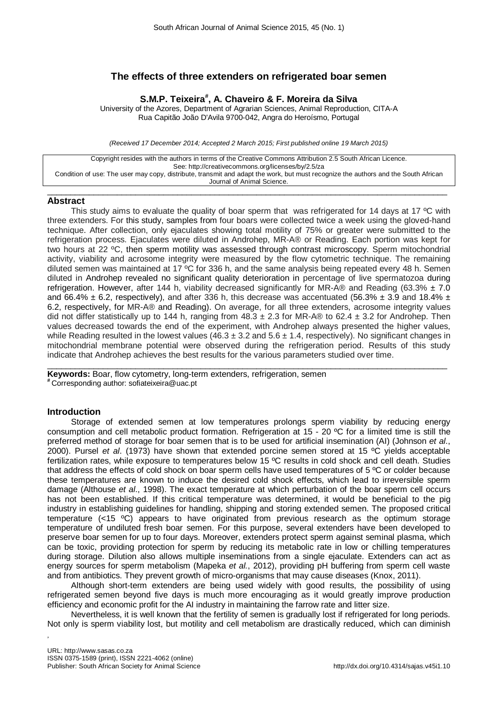# **The effects of three extenders on refrigerated boar semen**

**S.M.P. Teixeira# , A. Chaveiro & F. Moreira da Silva**

University of the Azores, Department of Agrarian Sciences, Animal Reproduction, CITA-A Rua Capitão João D'Avila 9700-042, Angra do Heroísmo, Portugal

*(Received 17 December 2014; Accepted 2 March 2015; First published online 19 March 2015)*

Copyright resides with the authors in terms of the Creative Commons Attribution 2.5 South African Licence. See:<http://creativecommons.org/licenses/by/2.5/za> Condition of use: The user may copy, distribute, transmit and adapt the work, but must recognize the authors and the South African Journal of Animal Science.

 $\_$  , and the set of the set of the set of the set of the set of the set of the set of the set of the set of the set of the set of the set of the set of the set of the set of the set of the set of the set of the set of th

# **Abstract**

This study aims to evaluate the quality of boar sperm that was refrigerated for 14 days at 17  $\degree$ C with three extenders. For this study, samples from four boars were collected twice a week using the gloved-hand technique. After collection, only ejaculates showing total motility of 75% or greater were submitted to the refrigeration process. Ejaculates were diluted in Androhep, MR-A® or Reading. Each portion was kept for two hours at 22 ºC, then sperm motility was assessed through contrast microscopy. Sperm mitochondrial activity, viability and acrosome integrity were measured by the flow cytometric technique. The remaining diluted semen was maintained at 17 °C for 336 h, and the same analysis being repeated every 48 h. Semen diluted in Androhep revealed no significant quality deterioration in percentage of live spermatozoa during refrigeration. However, after 144 h, viability decreased significantly for MR-A® and Reading (63.3%  $\pm$  7.0 and 66.4%  $\pm$  6.2, respectively), and after 336 h, this decrease was accentuated (56.3%  $\pm$  3.9 and 18.4%  $\pm$ 6.2, respectively, for MR-A® and Reading). On average, for all three extenders, acrosome integrity values did not differ statistically up to 144 h, ranging from  $48.3 \pm 2.3$  for MR-A® to 62.4  $\pm$  3.2 for Androhep. Then values decreased towards the end of the experiment, with Androhep always presented the higher values, while Reading resulted in the lowest values (46.3  $\pm$  3.2 and 5.6  $\pm$  1.4, respectively). No significant changes in mitochondrial membrane potential were observed during the refrigeration period. Results of this study indicate that Androhep achieves the best results for the various parameters studied over time.

 $\_$  , and the set of the set of the set of the set of the set of the set of the set of the set of the set of the set of the set of the set of the set of the set of the set of the set of the set of the set of the set of th **Keywords:** Boar, flow cytometry, long-term extenders, refrigeration, semen **#** Corresponding author: sofiateixeira@uac.pt

## **Introduction**

,

Storage of extended semen at low temperatures prolongs sperm viability by reducing energy consumption and cell metabolic product formation. Refrigeration at 15 - 20 ºC for a limited time is still the preferred method of storage for boar semen that is to be used for artificial insemination (AI) (Johnson *et al*., 2000). Pursel *et al*. (1973) have shown that extended porcine semen stored at 15 ºC yields acceptable fertilization rates, while exposure to temperatures below 15 ºC results in cold shock and cell death. Studies that address the effects of cold shock on boar sperm cells have used temperatures of 5 ºC or colder because these temperatures are known to induce the desired cold shock effects, which lead to irreversible sperm damage (Althouse *et al*., 1998). The exact temperature at which perturbation of the boar sperm cell occurs has not been established. If this critical temperature was determined, it would be beneficial to the pig industry in establishing guidelines for handling, shipping and storing extended semen. The proposed critical temperature (<15 ºC) appears to have originated from previous research as the optimum storage temperature of undiluted fresh boar semen. For this purpose, several extenders have been developed to preserve boar semen for up to four days. Moreover, extenders protect sperm against seminal plasma, which can be toxic, providing protection for sperm by reducing its metabolic rate in low or chilling temperatures during storage. Dilution also allows multiple inseminations from a single ejaculate. Extenders can act as energy sources for sperm metabolism (Mapeka *et al.*, 2012), providing pH buffering from sperm cell waste and from antibiotics. They prevent growth of micro-organisms that may cause diseases (Knox, 2011).

Although short-term extenders are being used widely with good results, the possibility of using refrigerated semen beyond five days is much more encouraging as it would greatly improve production efficiency and economic profit for the AI industry in maintaining the farrow rate and litter size.

Nevertheless, it is well known that the fertility of semen is gradually lost if refrigerated for long periods. Not only is sperm viability lost, but motility and cell metabolism are drastically reduced, which can diminish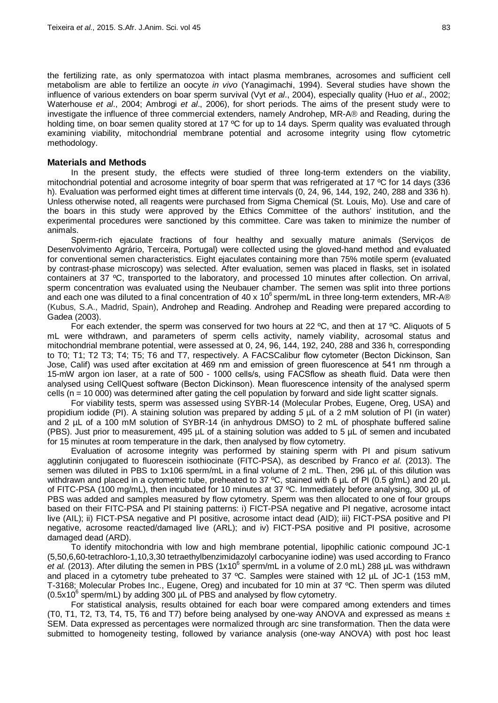the fertilizing rate, as only spermatozoa with intact plasma membranes, acrosomes and sufficient cell metabolism are able to fertilize an oocyte *in vivo* (Yanagimachi, 1994). Several studies have shown the influence of various extenders on boar sperm survival (Vyt *et al*., 2004), especially quality (Huo *et al*., 2002; Waterhouse *et al*., 2004; Ambrogi *et al*., 2006), for short periods. The aims of the present study were to investigate the influence of three commercial extenders, namely Androhep, MR-A® and Reading, during the holding time, on boar semen quality stored at 17 °C for up to 14 days. Sperm quality was evaluated through examining viability, mitochondrial membrane potential and acrosome integrity using flow cytometric methodology.

# **Materials and Methods**

In the present study, the effects were studied of three long-term extenders on the viability, mitochondrial potential and acrosome integrity of boar sperm that was refrigerated at 17 ºC for 14 days (336 h). Evaluation was performed eight times at different time intervals (0, 24, 96, 144, 192, 240, 288 and 336 h). Unless otherwise noted, all reagents were purchased from Sigma Chemical (St. Louis, Mo). Use and care of the boars in this study were approved by the Ethics Committee of the authors' institution, and the experimental procedures were sanctioned by this committee. Care was taken to minimize the number of animals.

Sperm-rich ejaculate fractions of four healthy and sexually mature animals (Serviços de Desenvolvimento Agrário, Terceira, Portugal) were collected using the gloved-hand method and evaluated for conventional semen characteristics. Eight ejaculates containing more than 75% motile sperm (evaluated by contrast-phase microscopy) was selected. After evaluation, semen was placed in flasks, set in isolated containers at 37 ºC, transported to the laboratory, and processed 10 minutes after collection. On arrival, sperm concentration was evaluated using the Neubauer chamber. The semen was split into three portions and each one was diluted to a final concentration of 40 x  $10^6$  sperm/mL in three long-term extenders, MR-A® (Kubus, S.A., Madrid, Spain), Androhep and Reading. Androhep and Reading were prepared according to Gadea (2003).

For each extender, the sperm was conserved for two hours at 22 °C, and then at 17 °C. Aliquots of 5 mL were withdrawn, and parameters of sperm cells activity, namely viability, acrosomal status and mitochondrial membrane potential, were assessed at 0, 24, 96, 144, 192, 240, 288 and 336 h, corresponding to T0; T1; T2 T3; T4; T5; T6 and T7, respectively. A FACSCalibur flow cytometer (Becton Dickinson, San Jose, Calif) was used after excitation at 469 nm and emission of green fluorescence at 541 nm through a 15-mW argon ion laser, at a rate of 500 - 1000 cells/s, using FACSflow as sheath fluid. Data were then analysed using CellQuest software (Becton Dickinson). Mean fluorescence intensity of the analysed sperm cells (n = 10 000) was determined after gating the cell population by forward and side light scatter signals.

For viability tests, sperm was assessed using SYBR-14 (Molecular Probes, Eugene, Oreg, USA) and propidium iodide (PI). A staining solution was prepared by adding *5* µL of a 2 mM solution of PI (in water) and 2 µL of a 100 mM solution of SYBR-14 (in anhydrous DMSO) to 2 mL of phosphate buffered saline (PBS). Just prior to measurement, 495 µL of a staining solution was added to 5 µL of semen and incubated for 15 minutes at room temperature in the dark, then analysed by flow cytometry.

Evaluation of acrosome integrity was performed by staining sperm with PI and pisum sativum agglutinin conjugated to fluorescein isothiocinate (FITC-PSA), as described by Franco *et al.* (2013). The semen was diluted in PBS to 1x106 sperm/mL in a final volume of 2 mL. Then, 296 µL of this dilution was withdrawn and placed in a cytometric tube, preheated to 37 °C, stained with 6 µL of PI (0.5 g/mL) and 20 µL of FITC-PSA (100 mg/mL), then incubated for 10 minutes at 37 ºC. Immediately before analysing, 300 µL of PBS was added and samples measured by flow cytometry. Sperm was then allocated to one of four groups based on their FITC-PSA and PI staining patterns: i) FICT-PSA negative and PI negative, acrosome intact live (AIL); ii) FICT-PSA negative and PI positive, acrosome intact dead (AID); iii) FICT-PSA positive and PI negative, acrosome reacted/damaged live (ARL); and iv) FICT-PSA positive and PI positive, acrosome damaged dead (ARD).

To identify mitochondria with low and high membrane potential, lipophilic cationic compound JC-1 (5,50,6,60-tetrachloro-1,10,3,30 tetraethylbenzimidazolyl carbocyanine iodine) was used according to Franco et al. (2013). After diluting the semen in PBS (1x10<sup>6</sup> sperm/mL in a volume of 2.0 mL) 288 µL was withdrawn and placed in a cytometry tube preheated to 37 °C. Samples were stained with 12 µL of JC-1 (153 mM, T-3168; Molecular Probes Inc., Eugene, Oreg) and incubated for 10 min at 37 ºC. Then sperm was diluted  $(0.5x10^6$  sperm/mL) by adding 300  $\mu$ L of PBS and analysed by flow cytometry.

For statistical analysis, results obtained for each boar were compared among extenders and times (T0, T1, T2, T3, T4, T5, T6 and T7) before being analysed by one-way ANOVA and expressed as means  $\pm$ SEM. Data expressed as percentages were normalized through arc sine transformation. Then the data were submitted to homogeneity testing, followed by variance analysis (one-way ANOVA) with post hoc least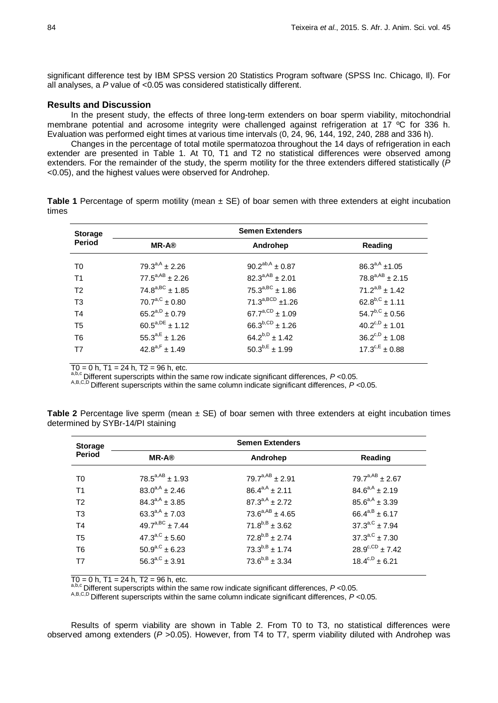significant difference test by IBM SPSS version 20 Statistics Program software (SPSS Inc. Chicago, II). For all analyses, a *P* value of <0.05 was considered statistically different.

#### **Results and Discussion**

In the present study, the effects of three long-term extenders on boar sperm viability, mitochondrial membrane potential and acrosome integrity were challenged against refrigeration at 17 ºC for 336 h. Evaluation was performed eight times at various time intervals (0, 24, 96, 144, 192, 240, 288 and 336 h).

Changes in the percentage of total motile spermatozoa throughout the 14 days of refrigeration in each extender are presented in Table 1. At T0, T1 and T2 no statistical differences were observed among extenders. For the remainder of the study, the sperm motility for the three extenders differed statistically (*P* <0.05), and the highest values were observed for Androhep.

|       | <b>Table 1</b> Percentage of sperm motility (mean $\pm$ SE) of boar semen with three extenders at eight incubation |  |  |  |  |  |
|-------|--------------------------------------------------------------------------------------------------------------------|--|--|--|--|--|
| times |                                                                                                                    |  |  |  |  |  |

| <b>Storage</b> | <b>Semen Extenders</b> |                        |                        |  |  |  |
|----------------|------------------------|------------------------|------------------------|--|--|--|
| Period         | <b>MR-A®</b>           | Androhep               | Reading                |  |  |  |
| T <sub>0</sub> | $79.3^{a,A} \pm 2.26$  | $90.2^{ab,A} \pm 0.87$ | $86.3^{a,A}$ ±1.05     |  |  |  |
| T <sub>1</sub> | $77.5^{a,AB} \pm 2.26$ | $82.3^{a,AB} \pm 2.01$ | $78.8^{a,AB} \pm 2.15$ |  |  |  |
| T <sub>2</sub> | $74.8^{a,BC} \pm 1.85$ | $75.3^{a,BC} \pm 1.86$ | $71.2^{a,B} \pm 1.42$  |  |  |  |
| T <sub>3</sub> | $70.7^{a,C} \pm 0.80$  | $71.3^{a,BCD}$ ±1.26   | $62.8^{b,C}$ ± 1.11    |  |  |  |
| T <sub>4</sub> | $65.2^{a,D} \pm 0.79$  | $67.7^{a,CD} \pm 1.09$ | $54.7^{b,C} \pm 0.56$  |  |  |  |
| T <sub>5</sub> | $60.5^{a,DE} \pm 1.12$ | $66.3^{b,CD}$ ± 1.26   | $40.2^{c,D}$ ± 1.01    |  |  |  |
| T <sub>6</sub> | $55.3^{a,E} \pm 1.26$  | $64.2^{b,D} \pm 1.42$  | $36.2^{c,D} \pm 1.08$  |  |  |  |
| T7             | $42.8^{a,F} \pm 1.49$  | $50.3^{b,E} \pm 1.99$  | $17.3^{c,E} \pm 0.88$  |  |  |  |

T0 = 0 h, T1 = 24 h, T2 = 96 h, etc.<br>a,b,c Different superscripts within the same row indicate significant differences,  $P$  <0.05.<br>A,B,C,D Different superscripts within the same column indicate significant differences,  $P$ 

| <b>Storage</b> | <b>Semen Extenders</b> |                        |                        |  |  |  |  |
|----------------|------------------------|------------------------|------------------------|--|--|--|--|
| <b>Period</b>  | <b>MR-A®</b>           | Androhep               | Reading                |  |  |  |  |
| T0             | $78.5^{a,AB} \pm 1.93$ | $79.7^{a,AB} \pm 2.91$ | $79.7^{a,AB} \pm 2.67$ |  |  |  |  |
| T <sub>1</sub> | $83.0^{a,A} \pm 2.46$  | $86.4^{a,A} \pm 2.11$  | $84.6^{a,A} \pm 2.19$  |  |  |  |  |
| T <sub>2</sub> | $84.3^{a,A} \pm 3.85$  | $87.3^{a,A} \pm 2.72$  | $85.6^{a,A} \pm 3.39$  |  |  |  |  |
| T <sub>3</sub> | $63.3^{a,A} \pm 7.03$  | $73.6^{a,AB} \pm 4.65$ | $66.4^{a,B} \pm 6.17$  |  |  |  |  |
| T <sub>4</sub> | $49.7^{a,BC} \pm 7.44$ | $71.8^{b,B} \pm 3.62$  | $37.3^{a,C}$ ± 7.94    |  |  |  |  |
| T <sub>5</sub> | $47.3^{a,C} \pm 5.60$  | $72.8^{b,B} \pm 2.74$  | $37.3^{a,C}$ ± 7.30    |  |  |  |  |
| T <sub>6</sub> | $50.9^{a,C}$ ± 6.23    | $73.3^{b,B} \pm 1.74$  | $28.9^{c,CD}$ ± 7.42   |  |  |  |  |
| T7             | $56.3^{a,C} \pm 3.91$  | $73.6^{b,B} \pm 3.34$  | $18.4^{c,D}$ ± 6.21    |  |  |  |  |

**Table 2** Percentage live sperm (mean ± SE) of boar semen with three extenders at eight incubation times determined by SYBr-14/PI staining

 $\overline{TO} = 0$  h,  $\overline{TO} = 24$  h,  $\overline{TO} = 96$  h, etc.<br>  $a,b,c$  Different superscripts within the same row indicate significant differences,  $P < 0.05$ .

A,B,C,D Different superscripts within the same column indicate significant differences, *P* <0.05.

Results of sperm viability are shown in Table 2. From T0 to T3, no statistical differences were observed among extenders (*P* >0.05). However, from T4 to T7, sperm viability diluted with Androhep was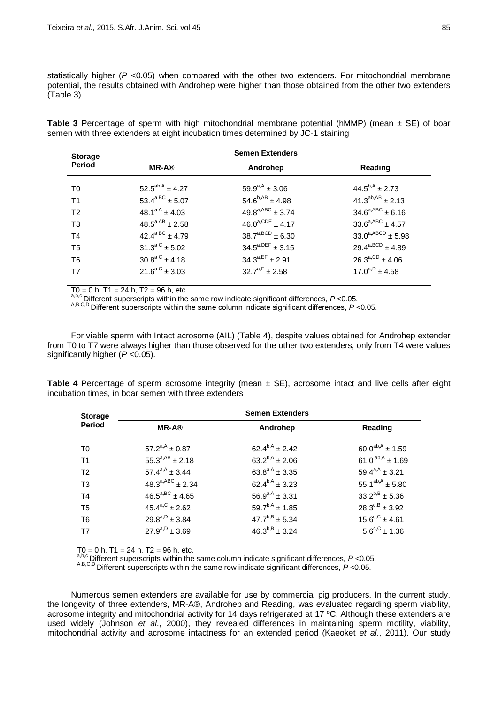statistically higher (*P* <0.05) when compared with the other two extenders. For mitochondrial membrane potential, the results obtained with Androhep were higher than those obtained from the other two extenders (Table 3).

**Table 3** Percentage of sperm with high mitochondrial membrane potential (hMMP) (mean ± SE) of boar semen with three extenders at eight incubation times determined by JC-1 staining

| <b>Semen Extenders</b>      |                         |                           |  |  |  |
|-----------------------------|-------------------------|---------------------------|--|--|--|
| <b>MR-A®</b>                | Androhep                | Reading                   |  |  |  |
| $52.5^{ab,A} \pm 4.27$      | $59.9^{a,A} \pm 3.06$   | $44.5^{b,A} \pm 2.73$     |  |  |  |
| 53.4 <sup>a,BC</sup> ± 5.07 | $54.6^{b,AB} \pm 4.98$  | $41.3^{ab,AB} \pm 2.13$   |  |  |  |
| $48.1^{a,A} \pm 4.03$       | $49.8^{a,ABC} \pm 3.74$ | $34.6^{a,ABC}$ ± 6.16     |  |  |  |
| $48.5^{a,AB} \pm 2.58$      | $46.0^{a,CDE} \pm 4.17$ | $33.6^{a,ABC}$ ± 4.57     |  |  |  |
| $42.4^{a,BC} \pm 4.79$      | $38.7^{a,BCD} \pm 6.30$ | $33.0^{a, ABCD} \pm 5.98$ |  |  |  |
| $31.3^{a,C} \pm 5.02$       | $34.5^{a,DEF} \pm 3.15$ | $29.4^{a,BCD} \pm 4.89$   |  |  |  |
| $30.8^{a,C} \pm 4.18$       | $34.3^{a,EF} \pm 2.91$  | $26.3^{a,CD}$ ± 4.06      |  |  |  |
| $21.6^{a,C} \pm 3.03$       | $32.7^{a,F} \pm 2.58$   | $17.0^{a,D} \pm 4.58$     |  |  |  |
|                             |                         |                           |  |  |  |

 $T0 = 0$  h,  $T1 = 24$  h,  $T2 = 96$  h, etc.<br>a,b,c Different superscripts within the same row indicate significant differences,  $P < 0.05$ .<br>A,B,C,D Different superscripts within the same column indicate significant differences,

For viable sperm with Intact acrosome (AIL) (Table 4), despite values obtained for Androhep extender from T0 to T7 were always higher than those observed for the other two extenders, only from T4 were values significantly higher ( $P < 0.05$ ).

**Table 4** Percentage of sperm acrosome integrity (mean  $\pm$  SE), acrosome intact and live cells after eight incubation times, in boar semen with three extenders

| <b>Storage</b> | <b>Semen Extenders</b>       |                        |                              |  |  |  |  |
|----------------|------------------------------|------------------------|------------------------------|--|--|--|--|
| Period         | <b>MR-A®</b>                 | Androhep               | Reading                      |  |  |  |  |
| T <sub>0</sub> | $57.2^{a,A} \pm 0.87$        | $62.4^{b,A} \pm 2.42$  | $60.0^{ab,A} \pm 1.59$       |  |  |  |  |
| T <sub>1</sub> | $55.3^{a,AB} \pm 2.18$       | $63.2^{b,A} \pm 2.06$  | 61.0 $^{ab,A}$ ± 1.69        |  |  |  |  |
| T <sub>2</sub> | $57.4^{a,A} \pm 3.44$        | $63.8^{a,A} \pm 3.35$  | $59.4^{a,A} \pm 3.21$        |  |  |  |  |
| T <sub>3</sub> | $48.3^{a,ABC}$ ± 2.34        | $62.4^{b,A} \pm 3.23$  | 55.1 <sup>ab,A</sup> ± 5.80  |  |  |  |  |
| T <sub>4</sub> | $46.5^{a,BC} \pm 4.65$       | $56.9^{a,A} \pm 3.31$  | $33.2^{b,B} \pm 5.36$        |  |  |  |  |
| T <sub>5</sub> | $45.4^{\text{a,C}} \pm 2.62$ | $59.7^{b,A}$ ± 1.85    | $28.3^{c,B} \pm 3.92$        |  |  |  |  |
| T <sub>6</sub> | $29.8^{a,D} \pm 3.84$        | $47.7^{b,B} \pm 5.34$  | $15.6^{\text{c,C}} \pm 4.61$ |  |  |  |  |
| T7             | $27.9^{a,D} \pm 3.69$        | $46.3^{b, B} \pm 3.24$ | $5.6^{\text{c,C}} \pm 1.36$  |  |  |  |  |

T0 = 0 h, T1 = 24 h, T2 = 96 h, etc.<br>a,b,c Different superscripts within the same column indicate significant differences, P <0.05.<br>A,B,C,D Different superscripts within the same row indicate significant differences, P <0

Numerous semen extenders are available for use by commercial pig producers. In the current study, the longevity of three extenders, MR-A®, Androhep and Reading, was evaluated regarding sperm viability, acrosome integrity and mitochondrial activity for 14 days refrigerated at 17 ºC. Although these extenders are used widely (Johnson *et al*., 2000), they revealed differences in maintaining sperm motility, viability, mitochondrial activity and acrosome intactness for an extended period (Kaeoket *et al*., 2011). Our study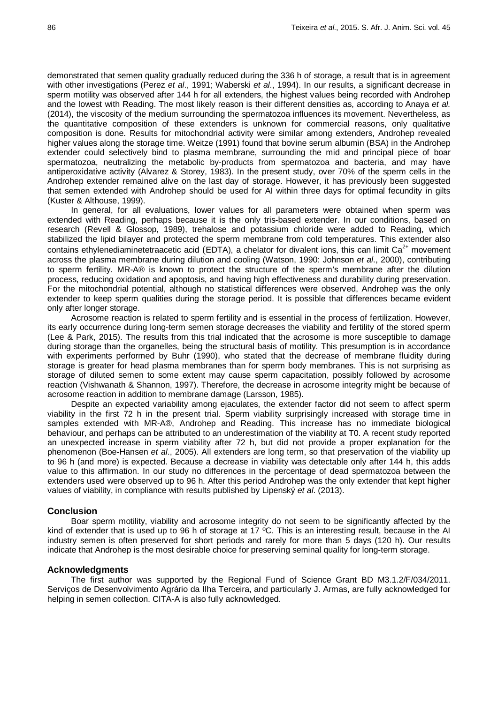demonstrated that semen quality gradually reduced during the 336 h of storage, a result that is in agreement with other investigations (Perez *et al*., 1991; Waberski *et al*., 1994). In our results, a significant decrease in sperm motility was observed after 144 h for all extenders, the highest values being recorded with Androhep and the lowest with Reading. The most likely reason is their different densities as, according to Anaya *et al.* (2014), the viscosity of the medium surrounding the spermatozoa influences its movement. Nevertheless, as the quantitative composition of these extenders is unknown for commercial reasons, only qualitative composition is done. Results for mitochondrial activity were similar among extenders, Androhep revealed higher values along the storage time. Weitze (1991) found that bovine serum albumin (BSA) in the Androhep extender could selectively bind to plasma membrane, surrounding the mid and principal piece of boar spermatozoa, neutralizing the metabolic by-products from spermatozoa and bacteria, and may have antiperoxidative activity (Alvarez & Storey, 1983). In the present study, over 70% of the sperm cells in the Androhep extender remained alive on the last day of storage. However, it has previously been suggested that semen extended with Androhep should be used for AI within three days for optimal fecundity in gilts (Kuster & Althouse, 1999).

In general, for all evaluations, lower values for all parameters were obtained when sperm was extended with Reading, perhaps because it is the only tris-based extender. In our conditions, based on research (Revell & Glossop, 1989), trehalose and potassium chloride were added to Reading, which stabilized the lipid bilayer and protected the sperm membrane from cold temperatures. This extender also contains ethylenediaminetetraacetic acid (EDTA), a chelator for divalent ions, this can limit  $Ca<sup>2+</sup>$  movement across the plasma membrane during dilution and cooling (Watson, 1990: Johnson *et al*., 2000), contributing to sperm fertility. MR-A® is known to protect the structure of the sperm's membrane after the dilution process, reducing oxidation and apoptosis, and having high effectiveness and durability during preservation. For the mitochondrial potential, although no statistical differences were observed, Androhep was the only extender to keep sperm qualities during the storage period. It is possible that differences became evident only after longer storage.

Acrosome reaction is related to sperm fertility and is essential in the process of fertilization. However, its early occurrence during long-term semen storage decreases the viability and fertility of the stored sperm (Lee & Park, 2015). The results from this trial indicated that the acrosome is more susceptible to damage during storage than the organelles, being the structural basis of motility. This presumption is in accordance with experiments performed by Buhr (1990), who stated that the decrease of membrane fluidity during storage is greater for head plasma membranes than for sperm body membranes. This is not surprising as storage of diluted semen to some extent may cause sperm capacitation, possibly followed by acrosome reaction (Vishwanath & Shannon, 1997). Therefore, the decrease in acrosome integrity might be because of acrosome reaction in addition to membrane damage (Larsson, 1985).

Despite an expected variability among ejaculates, the extender factor did not seem to affect sperm viability in the first 72 h in the present trial. Sperm viability surprisingly increased with storage time in samples extended with MR-A®, Androhep and Reading. This increase has no immediate biological behaviour, and perhaps can be attributed to an underestimation of the viability at T0. A recent study reported an unexpected increase in sperm viability after 72 h, but did not provide a proper explanation for the phenomenon (Boe-Hansen *et al*., 2005). All extenders are long term, so that preservation of the viability up to 96 h (and more) is expected. Because a decrease in viability was detectable only after 144 h, this adds value to this affirmation. In our study no differences in the percentage of dead spermatozoa between the extenders used were observed up to 96 h. After this period Androhep was the only extender that kept higher values of viability, in compliance with results published by Lipenský *et al*. (2013).

## **Conclusion**

Boar sperm motility, viability and acrosome integrity do not seem to be significantly affected by the kind of extender that is used up to 96 h of storage at 17 ºC. This is an interesting result, because in the AI industry semen is often preserved for short periods and rarely for more than 5 days (120 h). Our results indicate that Androhep is the most desirable choice for preserving seminal quality for long-term storage.

## **Acknowledgments**

The first author was supported by the Regional Fund of Science Grant BD M3.1.2/F/034/2011. Serviços de Desenvolvimento Agrário da Ilha Terceira, and particularly J. Armas, are fully acknowledged for helping in semen collection. CITA-A is also fully acknowledged.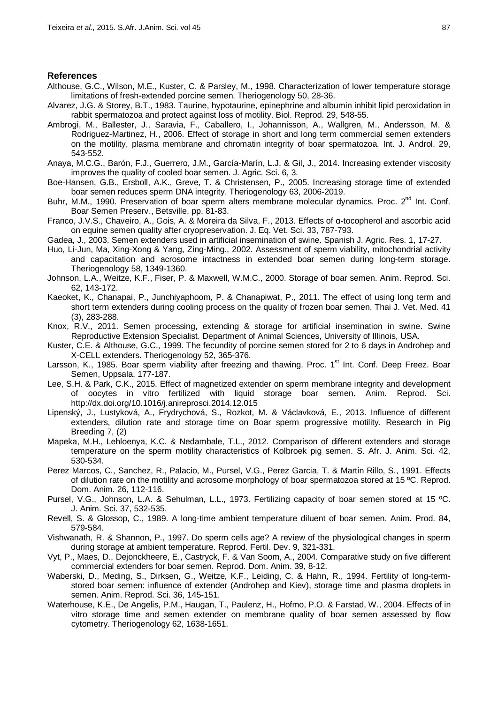## **References**

- Althouse, G.C., Wilson, M.E., Kuster, C. & Parsley, M., 1998. Characterization of lower temperature storage limitations of fresh-extended porcine semen. Theriogenology 50, 28-36.
- Alvarez, J.G. & Storey, B.T., 1983. Taurine, hypotaurine, epinephrine and albumin inhibit lipid peroxidation in rabbit spermatozoa and protect against loss of motility. Biol. Reprod. 29, 548-55.
- Ambrogi, M., Ballester, J., Saravia, F., Caballero, I., Johannisson, A., Wallgren, M., Andersson, M. & Rodriguez-Martinez, H., 2006. Effect of storage in short and long term commercial semen extenders on the motility, plasma membrane and chromatin integrity of boar spermatozoa. Int. J. Androl. 29, 543-552.
- Anaya, M.C.G., Barón, F.J., Guerrero, J.M., García-Marín, L.J. & Gil, J., 2014. Increasing extender viscosity improves the quality of cooled boar semen. J. Agric. Sci. 6, 3.
- Boe-Hansen, G.B., Ersboll, A.K., Greve, T. & Christensen, P., 2005. Increasing storage time of extended boar semen reduces sperm DNA integrity. Theriogenology 63, 2006-2019.
- Buhr, M.M., 1990. Preservation of boar sperm alters membrane molecular dynamics. Proc. 2<sup>nd</sup> Int. Conf. Boar Semen Preserv., Betsville. pp. 81-83.
- Franco, J.V.S., Chaveiro, A., Gois, A. & Moreira da Silva, F., 2013. Effects of α-tocopherol and ascorbic acid on equine semen quality after cryopreservation. J. Eq. Vet. Sci. 33, 787-793.
- Gadea, J., 2003. Semen extenders used in artificial insemination of swine. Spanish J. Agric. Res. 1, 17-27.
- Huo, Li-Jun, Ma, Xing-Xong & Yang, Zing-Ming., 2002. Assessment of sperm viability, mitochondrial activity and capacitation and acrosome intactness in extended boar semen during long-term storage. Theriogenology 58, 1349-1360.
- Johnson, L.A., Weitze, K.F., Fiser, P. & Maxwell, W.M.C., 2000. Storage of boar semen. Anim. Reprod. Sci. 62, 143-172.
- Kaeoket, K., Chanapai, P., Junchiyaphoom, P. & Chanapiwat, P., 2011. The effect of using long term and short term extenders during cooling process on the quality of frozen boar semen. Thai J. Vet. Med. 41 (3), 283-288.
- Knox, R.V., 2011. Semen processing, extending & storage for artificial insemination in swine. Swine Reproductive Extension Specialist. Department of Animal Sciences, University of Illinois, USA.
- Kuster, C.E. & Althouse, G.C., 1999. The fecundity of porcine semen stored for 2 to 6 days in Androhep and X-CELL extenders. Theriogenology 52, 365-376.
- Larsson, K., 1985. Boar sperm viability after freezing and thawing. Proc. 1<sup>st</sup> Int. Conf. Deep Freez. Boar Semen, Uppsala. 177-187.
- Lee, S.H. & Park, C.K., 2015. Effect of magnetized extender on sperm membrane integrity and development of oocytes in vitro fertilized with liquid storage boar semen. Anim. Reprod. Sci. http://dx.doi.org/10.1016/j.anireprosci.2014.12.015
- Lipenský, J., Lustyková, A., Frydrychová, S., Rozkot, M. & Václavková, E., 2013. Influence of different extenders, dilution rate and storage time on Boar sperm progressive motility. Research in Pig Breeding 7, (2)
- Mapeka, M.H., Lehloenya, K.C. & Nedambale, T.L., 2012. Comparison of different extenders and storage temperature on the sperm motility characteristics of Kolbroek pig semen. S. Afr. J. Anim. Sci. 42, 530-534.
- Perez Marcos, C., Sanchez, R., Palacio, M., Pursel, V.G., Perez Garcia, T. & Martin Rillo, S., 1991. Effects of dilution rate on the motility and acrosome morphology of boar spermatozoa stored at 15 ºC. Reprod. Dom. Anim. 26, 112-116.
- Pursel, V.G., Johnson, L.A. & Sehulman, L.L., 1973. Fertilizing capacity of boar semen stored at 15 ºC. J. Anim. Sci. 37, 532-535.
- Revell, S. & Glossop, C., 1989. A long-time ambient temperature diluent of boar semen. Anim. Prod. 84, 579-584.
- Vishwanath, R. & Shannon, P., 1997. Do sperm cells age? A review of the physiological changes in sperm during storage at ambient temperature. Reprod. Fertil. Dev. 9, 321-331.
- Vyt, P., Maes, D., Dejonckheere, E., Castryck, F. & Van Soom, A., 2004. Comparative study on five different commercial extenders for boar semen. Reprod. Dom. Anim. 39, 8-12.
- Waberski, D., Meding, S., Dirksen, G., Weitze, K.F., Leiding, C. & Hahn, R., 1994. Fertility of long-termstored boar semen: influence of extender (Androhep and Kiev), storage time and plasma droplets in semen. Anim. Reprod. Sci. 36, 145-151.
- Waterhouse, K.E., De Angelis, P.M., Haugan, T., Paulenz, H., Hofmo, P.O. & Farstad, W., 2004. Effects of in vitro storage time and semen extender on membrane quality of boar semen assessed by flow cytometry. Theriogenology 62, 1638-1651.